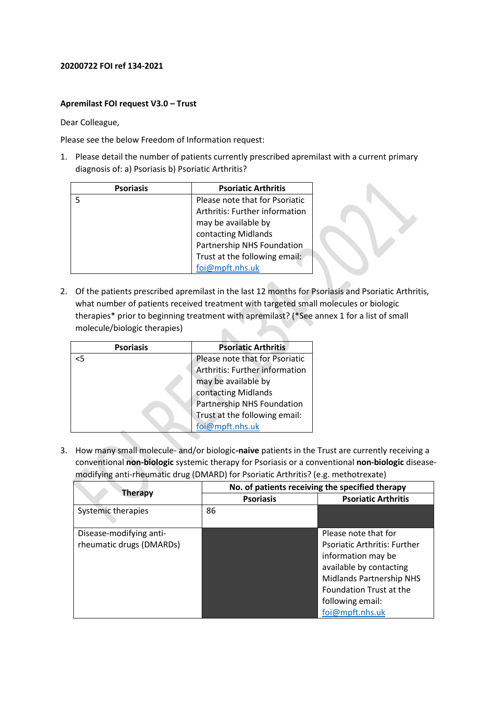## **20200722 FOI ref 134-2021**

## **Apremilast FOI request V3.0 – Trust**

Dear Colleague,

Please see the below Freedom of Information request:

1. Please detail the number of patients currently prescribed apremilast with a current primary diagnosis of: a) Psoriasis b) Psoriatic Arthritis?

| <b>Psoriasis</b> | <b>Psoriatic Arthritis</b>     |
|------------------|--------------------------------|
|                  | Please note that for Psoriatic |
|                  | Arthritis: Further information |
|                  | may be available by            |
|                  | contacting Midlands            |
|                  | Partnership NHS Foundation     |
|                  | Trust at the following email:  |
|                  | foi@mpft.nhs.uk                |

2. Of the patients prescribed apremilast in the last 12 months for Psoriasis and Psoriatic Arthritis, what number of patients received treatment with targeted small molecules or biologic therapies\* prior to beginning treatment with apremilast? (\*See annex 1 for a list of small molecule/biologic therapies)  $\mathcal{L}$  $\blacksquare$ 

| <b>Psoriasis</b> | <b>Psoriatic Arthritis</b>     |
|------------------|--------------------------------|
| <5               | Please note that for Psoriatic |
|                  | Arthritis: Further information |
|                  | may be available by            |
|                  | contacting Midlands            |
|                  | Partnership NHS Foundation     |
|                  | Trust at the following email:  |
|                  | foi@mpft.nhs.uk                |

3. How many small molecule- and/or biologic**-naive** patients in the Trust are currently receiving a conventional **non-biologic** systemic therapy for Psoriasis or a conventional **non-biologic** diseasemodifying anti-rheumatic drug (DMARD) for Psoriatic Arthritis? (e.g. methotrexate)

|                           | No. of patients receiving the specified therapy |                                     |
|---------------------------|-------------------------------------------------|-------------------------------------|
| <b>Therapy</b>            | <b>Psoriasis</b>                                | <b>Psoriatic Arthritis</b>          |
| <b>Systemic therapies</b> | 86                                              |                                     |
| Disease-modifying anti-   |                                                 | Please note that for                |
| rheumatic drugs (DMARDs)  |                                                 | <b>Psoriatic Arthritis: Further</b> |
|                           |                                                 | information may be                  |
|                           |                                                 | available by contacting             |
|                           |                                                 | <b>Midlands Partnership NHS</b>     |
|                           |                                                 | Foundation Trust at the             |
|                           |                                                 | following email:                    |
|                           |                                                 | foi@mpft.nhs.uk                     |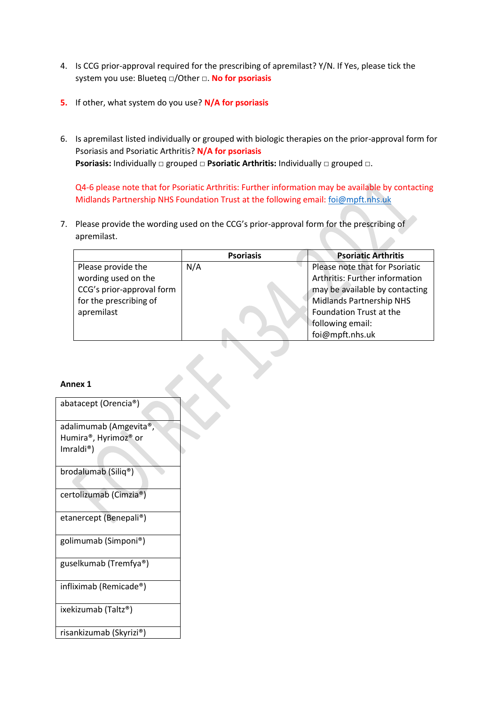- 4. Is CCG prior-approval required for the prescribing of apremilast? Y/N. If Yes, please tick the system you use: Blueteq □/Other □. **No for psoriasis**
- **5.** If other, what system do you use? **N/A for psoriasis**
- 6. Is apremilast listed individually or grouped with biologic therapies on the prior-approval form for Psoriasis and Psoriatic Arthritis? **N/A for psoriasis Psoriasis:** Individually □ grouped □ Psoriatic Arthritis: Individually □ grouped □.

Q4-6 please note that for Psoriatic Arthritis: Further information may be available by contacting Midlands Partnership NHS Foundation Trust at the following email[: foi@mpft.nhs.uk](mailto:foi@mpft.nhs.uk)

7. Please provide the wording used on the CCG's prior-approval form for the prescribing of apremilast.

|                           | <b>Psoriasis</b> | <b>Psoriatic Arthritis</b>     |
|---------------------------|------------------|--------------------------------|
| Please provide the        | N/A              | Please note that for Psoriatic |
| wording used on the       |                  | Arthritis: Further information |
| CCG's prior-approval form |                  | may be available by contacting |
| for the prescribing of    |                  | Midlands Partnership NHS       |
| apremilast                |                  | Foundation Trust at the        |
|                           |                  | following email:               |
|                           |                  | foi@mpft.nhs.uk                |

**Annex 1**

| abatacept (Orencia®)                                        |
|-------------------------------------------------------------|
| adalimumab (Amgevita®,<br>Humira®, Hyrimoz® or<br>Imraldi®) |
| brodalumab (Siliq®)                                         |
| certolizumab (Cimzia®)                                      |
| etanercept (Benepali®)                                      |
| golimumab (Simponi®)                                        |
| guselkumab (Tremfya®)                                       |
| infliximab (Remicade®)                                      |
| ixekizumab (Taltz®)                                         |
| risankizumab (Skyrizi®)                                     |